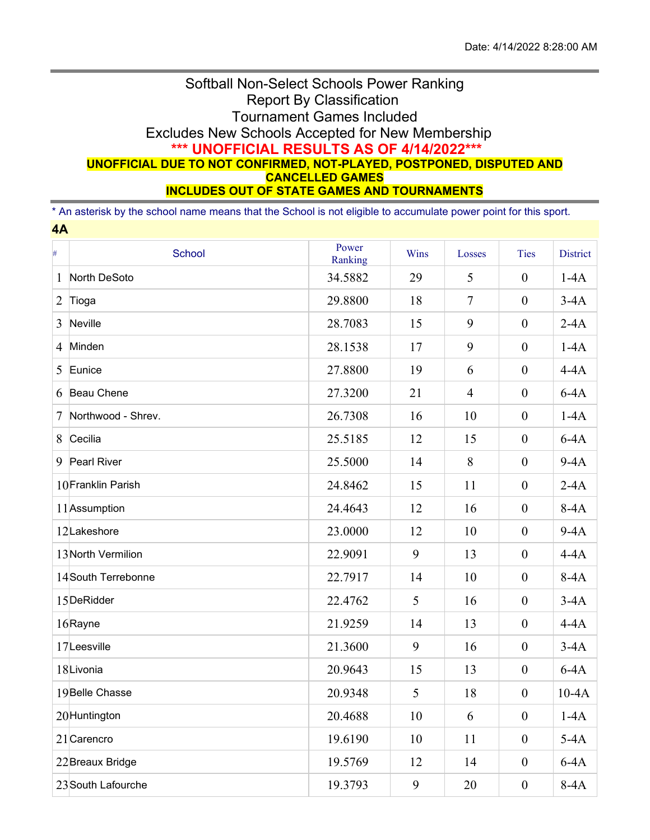## Softball Non-Select Schools Power Ranking Report By Classification Tournament Games Included Excludes New Schools Accepted for New Membership **\*\*\* UNOFFICIAL RESULTS AS OF 4/14/2022\*\*\* UNOFFICIAL DUE TO NOT CONFIRMED, NOT-PLAYED, POSTPONED, DISPUTED AND CANCELLED GAMES INCLUDES OUT OF STATE GAMES AND TOURNAMENTS**

\* An asterisk by the school name means that the School is not eligible to accumulate power point for this sport. **4A**

| #              | School             | Power<br>Ranking | Wins | Losses         | Ties             | <b>District</b> |
|----------------|--------------------|------------------|------|----------------|------------------|-----------------|
| 1              | North DeSoto       | 34.5882          | 29   | 5              | $\boldsymbol{0}$ | $1-4A$          |
| $\overline{2}$ | Tioga              | 29.8800          | 18   | $\overline{7}$ | $\boldsymbol{0}$ | $3-4A$          |
| 3              | Neville            | 28.7083          | 15   | 9              | $\mathbf{0}$     | $2-4A$          |
| 4              | Minden             | 28.1538          | 17   | 9              | $\mathbf{0}$     | $1-4A$          |
| 5              | Eunice             | 27.8800          | 19   | 6              | $\mathbf{0}$     | $4-4A$          |
| 6              | Beau Chene         | 27.3200          | 21   | $\overline{4}$ | $\boldsymbol{0}$ | $6-4A$          |
| 7              | Northwood - Shrev. | 26.7308          | 16   | 10             | $\mathbf{0}$     | $1-4A$          |
| 8              | Cecilia            | 25.5185          | 12   | 15             | $\mathbf{0}$     | $6-4A$          |
| 9              | Pearl River        | 25.5000          | 14   | 8              | $\boldsymbol{0}$ | $9-4A$          |
|                | 10Franklin Parish  | 24.8462          | 15   | 11             | $\boldsymbol{0}$ | $2-4A$          |
|                | 11 Assumption      | 24.4643          | 12   | 16             | $\mathbf{0}$     | $8-4A$          |
|                | 12Lakeshore        | 23.0000          | 12   | 10             | $\mathbf{0}$     | $9-4A$          |
|                | 13 North Vermilion | 22.9091          | 9    | 13             | $\boldsymbol{0}$ | $4-4A$          |
|                | 14South Terrebonne | 22.7917          | 14   | 10             | $\mathbf{0}$     | $8-4A$          |
|                | 15DeRidder         | 22.4762          | 5    | 16             | $\boldsymbol{0}$ | $3-4A$          |
|                | 16Rayne            | 21.9259          | 14   | 13             | $\mathbf{0}$     | $4-4A$          |
|                | 17Leesville        | 21.3600          | 9    | 16             | $\mathbf{0}$     | $3-4A$          |
|                | 18Livonia          | 20.9643          | 15   | 13             | $\boldsymbol{0}$ | $6-4A$          |
|                | 19Belle Chasse     | 20.9348          | 5    | 18             | $\boldsymbol{0}$ | $10-4A$         |
|                | 20Huntington       | 20.4688          | 10   | 6              | $\boldsymbol{0}$ | $1-4A$          |
|                | 21 Carencro        | 19.6190          | 10   | 11             | $\boldsymbol{0}$ | $5-4A$          |
|                | 22 Breaux Bridge   | 19.5769          | 12   | 14             | $\boldsymbol{0}$ | $6-4A$          |
|                | 23 South Lafourche | 19.3793          | 9    | 20             | $\overline{0}$   | $8-4A$          |